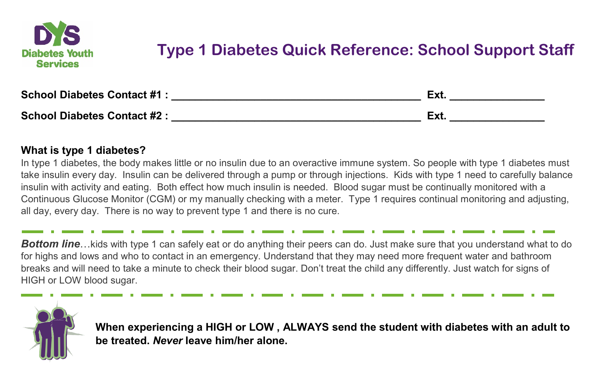

# **Type 1 Diabetes Quick Reference: School Support Staff**

| <b>School Diabetes Contact #1:</b> | Ext |
|------------------------------------|-----|
| <b>School Diabetes Contact #2:</b> | Ext |

#### **What is type 1 diabetes?**

In type 1 diabetes, the body makes little or no insulin due to an overactive immune system. So people with type 1 diabetes must take insulin every day. Insulin can be delivered through a pump or through injections. Kids with type 1 need to carefully balance insulin with activity and eating. Both effect how much insulin is needed. Blood sugar must be continually monitored with a Continuous Glucose Monitor (CGM) or my manually checking with a meter. Type 1 requires continual monitoring and adjusting, all day, every day. There is no way to prevent type 1 and there is no cure.

**Bottom line...** kids with type 1 can safely eat or do anything their peers can do. Just make sure that you understand what to do for highs and lows and who to contact in an emergency. Understand that they may need more frequent water and bathroom breaks and will need to take a minute to check their blood sugar. Don't treat the child any differently. Just watch for signs of HIGH or LOW blood sugar.



**When experiencing a HIGH or LOW , ALWAYS send the student with diabetes with an adult to be treated.** *Never* **leave him/her alone.**